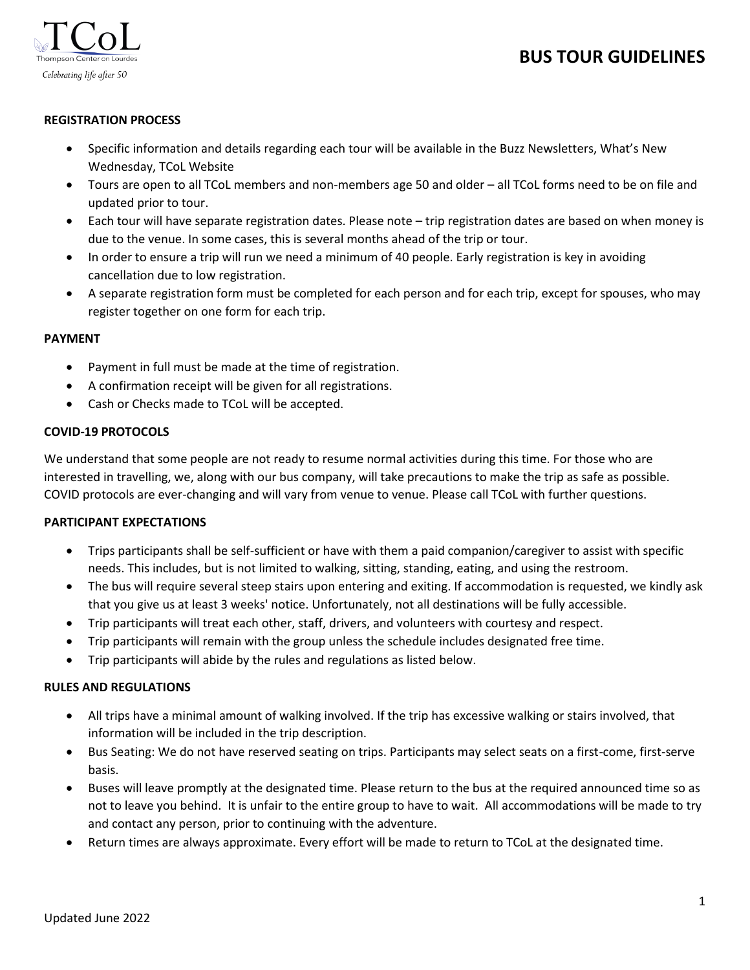# **BUS TOUR GUIDELINES**



# **REGISTRATION PROCESS**

- Specific information and details regarding each tour will be available in the Buzz Newsletters, What's New Wednesday, TCoL Website
- Tours are open to all TCoL members and non-members age 50 and older all TCoL forms need to be on file and updated prior to tour.
- Each tour will have separate registration dates. Please note trip registration dates are based on when money is due to the venue. In some cases, this is several months ahead of the trip or tour.
- In order to ensure a trip will run we need a minimum of 40 people. Early registration is key in avoiding cancellation due to low registration.
- A separate registration form must be completed for each person and for each trip, except for spouses, who may register together on one form for each trip.

## **PAYMENT**

- Payment in full must be made at the time of registration.
- A confirmation receipt will be given for all registrations.
- Cash or Checks made to TCoL will be accepted.

#### **COVID-19 PROTOCOLS**

We understand that some people are not ready to resume normal activities during this time. For those who are interested in travelling, we, along with our bus company, will take precautions to make the trip as safe as possible. COVID protocols are ever-changing and will vary from venue to venue. Please call TCoL with further questions.

## **PARTICIPANT EXPECTATIONS**

- Trips participants shall be self-sufficient or have with them a paid companion/caregiver to assist with specific needs. This includes, but is not limited to walking, sitting, standing, eating, and using the restroom.
- The bus will require several steep stairs upon entering and exiting. If accommodation is requested, we kindly ask that you give us at least 3 weeks' notice. Unfortunately, not all destinations will be fully accessible.
- Trip participants will treat each other, staff, drivers, and volunteers with courtesy and respect.
- Trip participants will remain with the group unless the schedule includes designated free time.
- Trip participants will abide by the rules and regulations as listed below.

## **RULES AND REGULATIONS**

- All trips have a minimal amount of walking involved. If the trip has excessive walking or stairs involved, that information will be included in the trip description.
- Bus Seating: We do not have reserved seating on trips. Participants may select seats on a first-come, first-serve basis.
- Buses will leave promptly at the designated time. Please return to the bus at the required announced time so as not to leave you behind. It is unfair to the entire group to have to wait. All accommodations will be made to try and contact any person, prior to continuing with the adventure.
- Return times are always approximate. Every effort will be made to return to TCoL at the designated time.